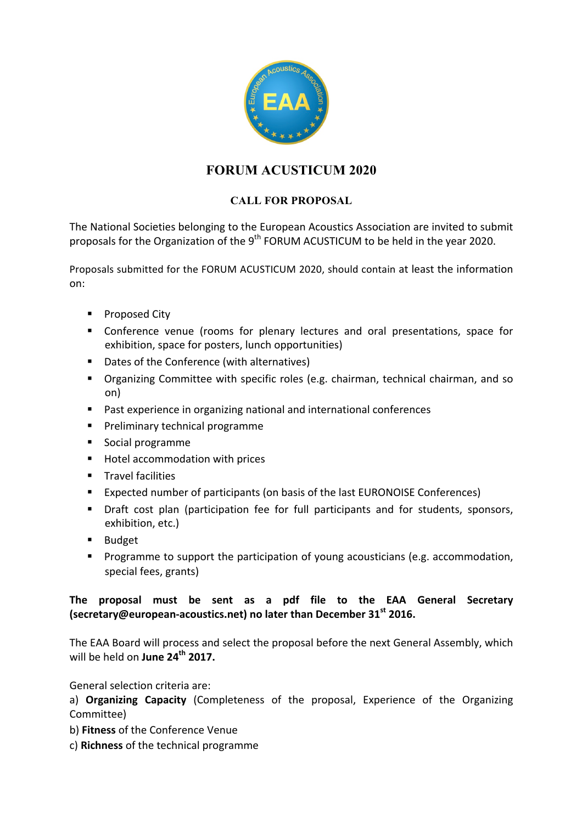

## **FORUM ACUSTICUM 2020**

## **CALL FOR PROPOSAL**

The National Societies belonging to the European Acoustics Association are invited to submit proposals for the Organization of the  $9<sup>th</sup>$  FORUM ACUSTICUM to be held in the year 2020.

Proposals submitted for the FORUM ACUSTICUM 2020, should contain at least the information on:

- Proposed City
- Conference venue (rooms for plenary lectures and oral presentations, space for exhibition, space for posters, lunch opportunities)
- Dates of the Conference (with alternatives)
- Organizing Committee with specific roles (e.g. chairman, technical chairman, and so on)
- Past experience in organizing national and international conferences
- Preliminary technical programme
- Social programme
- Hotel accommodation with prices
- **■** Travel facilities
- Expected number of participants (on basis of the last EURONOISE Conferences)
- Draft cost plan (participation fee for full participants and for students, sponsors, exhibition, etc.)
- Budget
- Programme to support the participation of young acousticians (e.g. accommodation, special fees, grants)

## The proposal must be sent as a pdf file to the EAA General Secretary **(secretary@european-acoustics.net) no later than December 31<sup>st</sup> 2016.**

The EAA Board will process and select the proposal before the next General Assembly, which will be held on June 24<sup>th</sup> 2017.

General selection criteria are:

a) **Organizing Capacity** (Completeness of the proposal, Experience of the Organizing Committee) 

- b) **Fitness** of the Conference Venue
- c) **Richness** of the technical programme